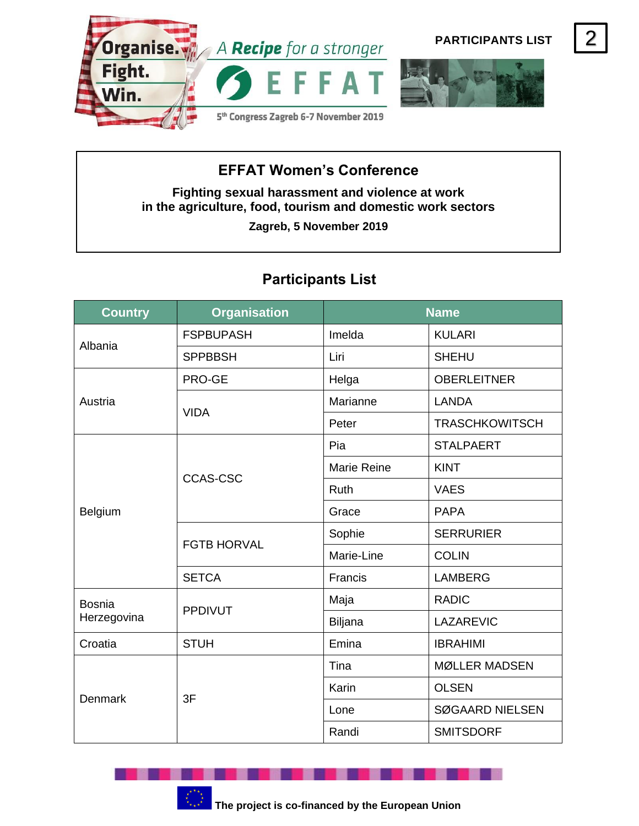

## **EFFAT Women's Conference**

**Fighting sexual harassment and violence at work in the agriculture, food, tourism and domestic work sectors**

**Zagreb, 5 November 2019**

## **Participants List**

| <b>Country</b>               | <b>Organisation</b> | <b>Name</b>        |                        |
|------------------------------|---------------------|--------------------|------------------------|
| Albania                      | <b>FSPBUPASH</b>    | Imelda             | <b>KULARI</b>          |
|                              | <b>SPPBBSH</b>      | Liri               | <b>SHEHU</b>           |
| Austria                      | PRO-GE              | Helga              | <b>OBERLEITNER</b>     |
|                              | <b>VIDA</b>         | Marianne           | <b>LANDA</b>           |
|                              |                     | Peter              | <b>TRASCHKOWITSCH</b>  |
| Belgium                      | <b>CCAS-CSC</b>     | Pia                | <b>STALPAERT</b>       |
|                              |                     | <b>Marie Reine</b> | <b>KINT</b>            |
|                              |                     | Ruth               | <b>VAES</b>            |
|                              |                     | Grace              | <b>PAPA</b>            |
|                              | <b>FGTB HORVAL</b>  | Sophie             | <b>SERRURIER</b>       |
|                              |                     | Marie-Line         | <b>COLIN</b>           |
|                              | <b>SETCA</b>        | Francis            | <b>LAMBERG</b>         |
| <b>Bosnia</b><br>Herzegovina | <b>PPDIVUT</b>      | Maja               | <b>RADIC</b>           |
|                              |                     | Biljana            | <b>LAZAREVIC</b>       |
| Croatia                      | <b>STUH</b>         | Emina              | <b>IBRAHIMI</b>        |
| <b>Denmark</b>               | 3F                  | Tina               | <b>MØLLER MADSEN</b>   |
|                              |                     | Karin              | <b>OLSEN</b>           |
|                              |                     | Lone               | <b>SØGAARD NIELSEN</b> |
|                              |                     | Randi              | <b>SMITSDORF</b>       |

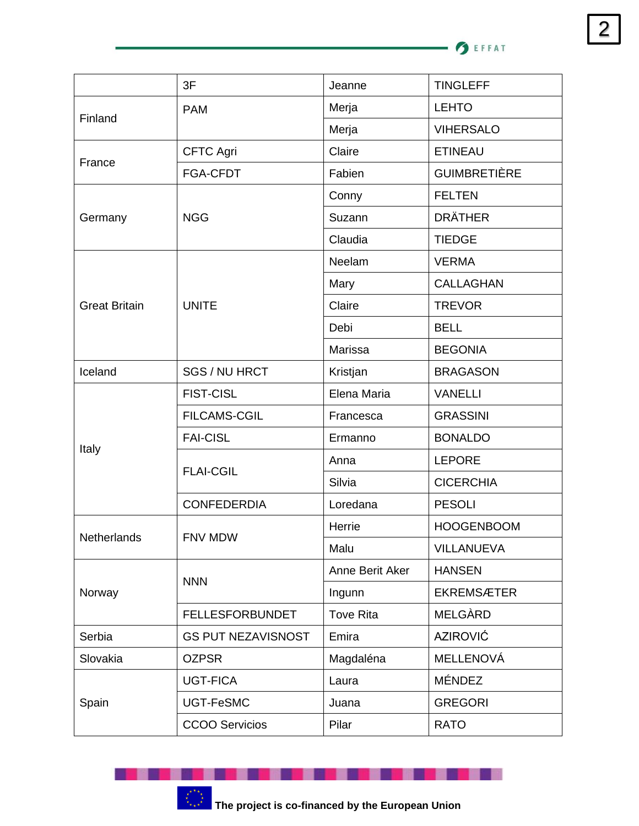· **O** EFFAT

|                      | 3F                        | Jeanne           | <b>TINGLEFF</b>     |
|----------------------|---------------------------|------------------|---------------------|
| Finland              | <b>PAM</b>                | Merja            | <b>LEHTO</b>        |
|                      |                           | Merja            | <b>VIHERSALO</b>    |
| France               | <b>CFTC Agri</b>          | Claire           | <b>ETINEAU</b>      |
|                      | FGA-CFDT                  | Fabien           | <b>GUIMBRETIÈRE</b> |
| Germany              | <b>NGG</b>                | Conny            | <b>FELTEN</b>       |
|                      |                           | Suzann           | <b>DRÄTHER</b>      |
|                      |                           | Claudia          | <b>TIEDGE</b>       |
|                      | <b>UNITE</b>              | Neelam           | <b>VERMA</b>        |
|                      |                           | Mary             | <b>CALLAGHAN</b>    |
| <b>Great Britain</b> |                           | Claire           | <b>TREVOR</b>       |
|                      |                           | Debi             | <b>BELL</b>         |
|                      |                           | Marissa          | <b>BEGONIA</b>      |
| Iceland              | SGS / NU HRCT             | Kristjan         | <b>BRAGASON</b>     |
| Italy                | <b>FIST-CISL</b>          | Elena Maria      | <b>VANELLI</b>      |
|                      | <b>FILCAMS-CGIL</b>       | Francesca        | <b>GRASSINI</b>     |
|                      | <b>FAI-CISL</b>           | Ermanno          | <b>BONALDO</b>      |
|                      | <b>FLAI-CGIL</b>          | Anna             | <b>LEPORE</b>       |
|                      |                           | Silvia           | <b>CICERCHIA</b>    |
|                      | <b>CONFEDERDIA</b>        | Loredana         | <b>PESOLI</b>       |
| Netherlands          | FNV MDW                   | Herrie           | <b>HOOGENBOOM</b>   |
|                      |                           | Malu             | <b>VILLANUEVA</b>   |
| Norway               | <b>NNN</b>                | Anne Berit Aker  | <b>HANSEN</b>       |
|                      |                           | Ingunn           | <b>EKREMSÆTER</b>   |
|                      | <b>FELLESFORBUNDET</b>    | <b>Tove Rita</b> | MELGÀRD             |
| Serbia               | <b>GS PUT NEZAVISNOST</b> | Emira            | <b>AZIROVIĆ</b>     |
| Slovakia             | <b>OZPSR</b>              | Magdaléna        | <b>MELLENOVÁ</b>    |
| Spain                | <b>UGT-FICA</b>           | Laura            | <b>MÉNDEZ</b>       |
|                      | UGT-FeSMC                 | Juana            | <b>GREGORI</b>      |
|                      | <b>CCOO Servicios</b>     | Pilar            | <b>RATO</b>         |



. .

. . . . . . .